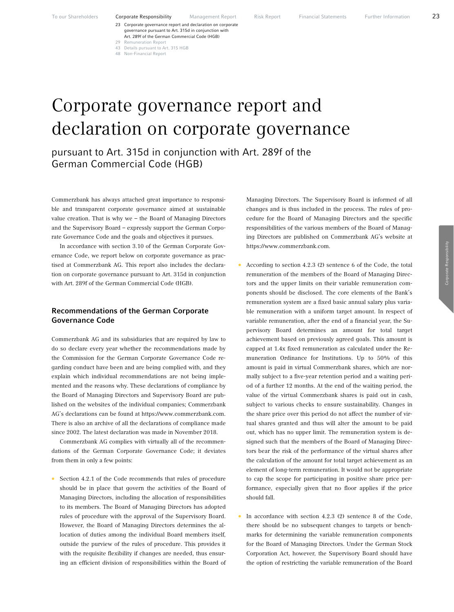- 23 Corporate governance report and declaration on corporate governance pursuant to Art. 315d in conjunction with Art. 289f of the German Commercial Code (HGB)
- 29 Remuneration Report
- 43 Details pursuant to Art. 315 HGB
- 48 Non-Financial Report

# Corporate governance report and declaration on corporate governance

pursuant to Art. 315d in conjunction with Art. 289f of the German Commercial Code (HGB)

Commerzbank has always attached great importance to responsible and transparent corporate governance aimed at sustainable value creation. That is why we – the Board of Managing Directors and the Supervisory Board – expressly support the German Corporate Governance Code and the goals and objectives it pursues.

In accordance with section 3.10 of the German Corporate Governance Code, we report below on corporate governance as practised at Commerzbank AG. This report also includes the declaration on corporate governance pursuant to Art. 315d in conjunction with Art. 289f of the German Commercial Code (HGB).

## Recommendations of the German Corporate Governance Code

Commerzbank AG and its subsidiaries that are required by law to do so declare every year whether the recommendations made by the Commission for the German Corporate Governance Code regarding conduct have been and are being complied with, and they explain which individual recommendations are not being implemented and the reasons why. These declarations of compliance by the Board of Managing Directors and Supervisory Board are published on the websites of the individual companies; Commerzbank AG's declarations can be found at https://www.commerzbank.com. There is also an archive of all the declarations of compliance made since 2002. The latest declaration was made in November 2018.

Commerzbank AG complies with virtually all of the recommendations of the German Corporate Governance Code; it deviates from them in only a few points:

• Section 4.2.1 of the Code recommends that rules of procedure should be in place that govern the activities of the Board of Managing Directors, including the allocation of responsibilities to its members. The Board of Managing Directors has adopted rules of procedure with the approval of the Supervisory Board. However, the Board of Managing Directors determines the allocation of duties among the individual Board members itself, outside the purview of the rules of procedure. This provides it with the requisite flexibility if changes are needed, thus ensuring an efficient division of responsibilities within the Board of

Managing Directors. The Supervisory Board is informed of all changes and is thus included in the process. The rules of procedure for the Board of Managing Directors and the specific responsibilities of the various members of the Board of Managing Directors are published on Commerzbank AG's website at https://www.commerzbank.com.

- According to section 4.2.3 (2) sentence 6 of the Code, the total remuneration of the members of the Board of Managing Directors and the upper limits on their variable remuneration components should be disclosed. The core elements of the Bank's remuneration system are a fixed basic annual salary plus variable remuneration with a uniform target amount. In respect of variable remuneration, after the end of a financial year, the Supervisory Board determines an amount for total target achievement based on previously agreed goals. This amount is capped at 1.4x fixed remuneration as calculated under the Remuneration Ordinance for Institutions. Up to 50% of this amount is paid in virtual Commerzbank shares, which are normally subject to a five-year retention period and a waiting period of a further 12 months. At the end of the waiting period, the value of the virtual Commerzbank shares is paid out in cash, subject to various checks to ensure sustainability. Changes in the share price over this period do not affect the number of virtual shares granted and thus will alter the amount to be paid out, which has no upper limit. The remuneration system is designed such that the members of the Board of Managing Directors bear the risk of the performance of the virtual shares after the calculation of the amount for total target achievement as an element of long-term remuneration. It would not be appropriate to cap the scope for participating in positive share price performance, especially given that no floor applies if the price should fall.
- In accordance with section  $4.2.3$  (2) sentence 8 of the Code, there should be no subsequent changes to targets or benchmarks for determining the variable remuneration components for the Board of Managing Directors. Under the German Stock Corporation Act, however, the Supervisory Board should have the option of restricting the variable remuneration of the Board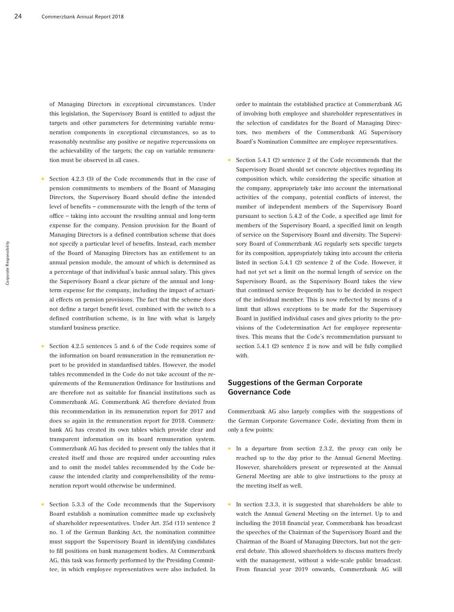of Managing Directors in exceptional circumstances. Under this legislation, the Supervisory Board is entitled to adjust the targets and other parameters for determining variable remuneration components in exceptional circumstances, so as to reasonably neutralise any positive or negative repercussions on the achievability of the targets; the cap on variable remuneration must be observed in all cases.

- Section 4.2.3 (3) of the Code recommends that in the case of pension commitments to members of the Board of Managing Directors, the Supervisory Board should define the intended level of benefits – commensurate with the length of the term of office – taking into account the resulting annual and long-term expense for the company. Pension provision for the Board of Managing Directors is a defined contribution scheme that does not specify a particular level of benefits. Instead, each member of the Board of Managing Directors has an entitlement to an annual pension module, the amount of which is determined as a percentage of that individual's basic annual salary. This gives the Supervisory Board a clear picture of the annual and longterm expense for the company, including the impact of actuarial effects on pension provisions. The fact that the scheme does not define a target benefit level, combined with the switch to a defined contribution scheme, is in line with what is largely standard business practice.
- Section 4.2.5 sentences 5 and 6 of the Code requires some of the information on board remuneration in the remuneration report to be provided in standardised tables. However, the model tables recommended in the Code do not take account of the requirements of the Remuneration Ordinance for Institutions and are therefore not as suitable for financial institutions such as Commerzbank AG. Commerzbank AG therefore deviated from this recommendation in its remuneration report for 2017 and does so again in the remuneration report for 2018. Commerzbank AG has created its own tables which provide clear and transparent information on its board remuneration system. Commerzbank AG has decided to present only the tables that it created itself and those are required under accounting rules and to omit the model tables recommended by the Code because the intended clarity and comprehensibility of the remuneration report would otherwise be undermined.
- Section 5.3.3 of the Code recommends that the Supervisory Board establish a nomination committee made up exclusively of shareholder representatives. Under Art. 25d (11) sentence 2 no. 1 of the German Banking Act, the nomination committee must support the Supervisory Board in identifying candidates to fill positions on bank management bodies. At Commerzbank AG, this task was formerly performed by the Presiding Committee, in which employee representatives were also included. In

order to maintain the established practice at Commerzbank AG of involving both employee and shareholder representatives in the selection of candidates for the Board of Managing Directors, two members of the Commerzbank AG Supervisory Board's Nomination Committee are employee representatives.

• Section 5.4.1 (2) sentence 2 of the Code recommends that the Supervisory Board should set concrete objectives regarding its composition which, while considering the specific situation at the company, appropriately take into account the international activities of the company, potential conflicts of interest, the number of independent members of the Supervisory Board pursuant to section 5.4.2 of the Code, a specified age limit for members of the Supervisory Board, a specified limit on length of service on the Supervisory Board and diversity. The Supervisory Board of Commerzbank AG regularly sets specific targets for its composition, appropriately taking into account the criteria listed in section 5.4.1 (2) sentence 2 of the Code. However, it had not yet set a limit on the normal length of service on the Supervisory Board, as the Supervisory Board takes the view that continued service frequently has to be decided in respect of the individual member. This is now reflected by means of a limit that allows exceptions to be made for the Supervisory Board in justified individual cases and gives priority to the provisions of the Codetermination Act for employee representatives. This means that the Code's recommendation pursuant to section 5.4.1 (2) sentence 2 is now and will be fully complied with.

## Suggestions of the German Corporate Governance Code

Commerzbank AG also largely complies with the suggestions of the German Corporate Governance Code, deviating from them in only a few points:

- In a departure from section  $2.3.2$ , the proxy can only be reached up to the day prior to the Annual General Meeting. However, shareholders present or represented at the Annual General Meeting are able to give instructions to the proxy at the meeting itself as well.
- In section 2.3.3, it is suggested that shareholders be able to watch the Annual General Meeting on the internet. Up to and including the 2018 financial year, Commerzbank has broadcast the speeches of the Chairman of the Supervisory Board and the Chairman of the Board of Managing Directors, but not the general debate. This allowed shareholders to discuss matters freely with the management, without a wide-scale public broadcast. From financial year 2019 onwards, Commerzbank AG will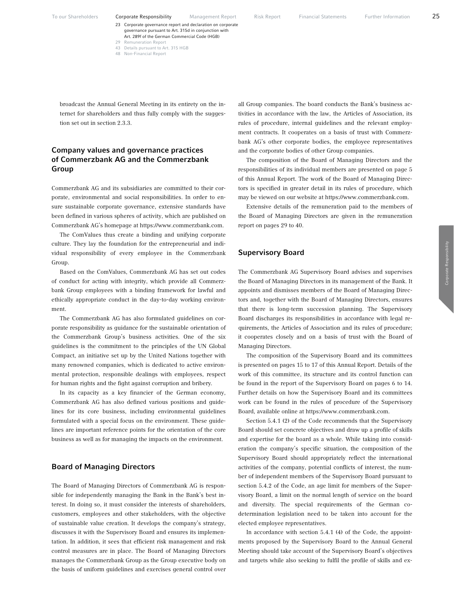48 Non-Financial Report

broadcast the Annual General Meeting in its entirety on the internet for shareholders and thus fully comply with the suggestion set out in section 2.3.3.

## Company values and governance practices of Commerzbank AG and the Commerzbank Group

Commerzbank AG and its subsidiaries are committed to their corporate, environmental and social responsibilities. In order to ensure sustainable corporate governance, extensive standards have been defined in various spheres of activity, which are published on Commerzbank AG's homepage at https://www.commerzbank.com.

The ComValues thus create a binding and unifying corporate culture. They lay the foundation for the entrepreneurial and individual responsibility of every employee in the Commerzbank Group.

Based on the ComValues, Commerzbank AG has set out codes of conduct for acting with integrity, which provide all Commerzbank Group employees with a binding framework for lawful and ethically appropriate conduct in the day-to-day working environment.

The Commerzbank AG has also formulated guidelines on corporate responsibility as guidance for the sustainable orientation of the Commerzbank Group's business activities. One of the six guidelines is the commitment to the principles of the UN Global Compact, an initiative set up by the United Nations together with many renowned companies, which is dedicated to active environmental protection, responsible dealings with employees, respect for human rights and the fight against corruption and bribery.

In its capacity as a key financier of the German economy, Commerzbank AG has also defined various positions and guidelines for its core business, including environmental guidelines formulated with a special focus on the environment. These guidelines are important reference points for the orientation of the core business as well as for managing the impacts on the environment.

## Board of Managing Directors

The Board of Managing Directors of Commerzbank AG is responsible for independently managing the Bank in the Bank's best interest. In doing so, it must consider the interests of shareholders, customers, employees and other stakeholders, with the objective of sustainable value creation. It develops the company's strategy, discusses it with the Supervisory Board and ensures its implementation. In addition, it sees that efficient risk management and risk control measures are in place. The Board of Managing Directors manages the Commerzbank Group as the Group executive body on the basis of uniform guidelines and exercises general control over all Group companies. The board conducts the Bank's business activities in accordance with the law, the Articles of Association, its rules of procedure, internal guidelines and the relevant employment contracts. It cooperates on a basis of trust with Commerzbank AG's other corporate bodies, the employee representatives and the corporate bodies of other Group companies.

The composition of the Board of Managing Directors and the responsibilities of its individual members are presented on page 5 of this Annual Report. The work of the Board of Managing Directors is specified in greater detail in its rules of procedure, which may be viewed on our website at https://www.commerzbank.com.

Extensive details of the remuneration paid to the members of the Board of Managing Directors are given in the remuneration report on pages 29 to 40.

## Supervisory Board

The Commerzbank AG Supervisory Board advises and supervises the Board of Managing Directors in its management of the Bank. It appoints and dismisses members of the Board of Managing Directors and, together with the Board of Managing Directors, ensures that there is long-term succession planning. The Supervisory Board discharges its responsibilities in accordance with legal requirements, the Articles of Association and its rules of procedure; it cooperates closely and on a basis of trust with the Board of Managing Directors.

The composition of the Supervisory Board and its committees is presented on pages 15 to 17 of this Annual Report. Details of the work of this committee, its structure and its control function can be found in the report of the Supervisory Board on pages 6 to 14. Further details on how the Supervisory Board and its committees work can be found in the rules of procedure of the Supervisory Board, available online at https://www.commerzbank.com.

Section 5.4.1 (2) of the Code recommends that the Supervisory Board should set concrete objectives and draw up a profile of skills and expertise for the board as a whole. While taking into consideration the company's specific situation, the composition of the Supervisory Board should appropriately reflect the international activities of the company, potential conflicts of interest, the number of independent members of the Supervisory Board pursuant to section 5.4.2 of the Code, an age limit for members of the Supervisory Board, a limit on the normal length of service on the board and diversity. The special requirements of the German codetermination legislation need to be taken into account for the elected employee representatives.

In accordance with section 5.4.1 (4) of the Code, the appointments proposed by the Supervisory Board to the Annual General Meeting should take account of the Supervisory Board's objectives and targets while also seeking to fulfil the profile of skills and ex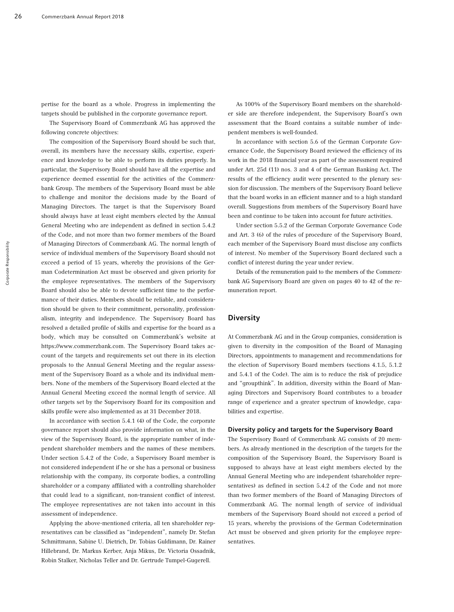pertise for the board as a whole. Progress in implementing the targets should be published in the corporate governance report.

The Supervisory Board of Commerzbank AG has approved the following concrete objectives:

The composition of the Supervisory Board should be such that, overall, its members have the necessary skills, expertise, experience and knowledge to be able to perform its duties properly. In particular, the Supervisory Board should have all the expertise and experience deemed essential for the activities of the Commerzbank Group. The members of the Supervisory Board must be able to challenge and monitor the decisions made by the Board of Managing Directors. The target is that the Supervisory Board should always have at least eight members elected by the Annual General Meeting who are independent as defined in section 5.4.2 of the Code, and not more than two former members of the Board of Managing Directors of Commerzbank AG. The normal length of service of individual members of the Supervisory Board should not exceed a period of 15 years, whereby the provisions of the German Codetermination Act must be observed and given priority for the employee representatives. The members of the Supervisory Board should also be able to devote sufficient time to the performance of their duties. Members should be reliable, and consideration should be given to their commitment, personality, professionalism, integrity and independence. The Supervisory Board has resolved a detailed profile of skills and expertise for the board as a body, which may be consulted on Commerzbank's website at https://www.commerzbank.com. The Supervisory Board takes account of the targets and requirements set out there in its election proposals to the Annual General Meeting and the regular assessment of the Supervisory Board as a whole and its individual members. None of the members of the Supervisory Board elected at the Annual General Meeting exceed the normal length of service. All other targets set by the Supervisory Board for its composition and skills profile were also implemented as at 31 December 2018.

In accordance with section 5.4.1 (4) of the Code, the corporate governance report should also provide information on what, in the view of the Supervisory Board, is the appropriate number of independent shareholder members and the names of these members. Under section 5.4.2 of the Code, a Supervisory Board member is not considered independent if he or she has a personal or business relationship with the company, its corporate bodies, a controlling shareholder or a company affiliated with a controlling shareholder that could lead to a significant, non-transient conflict of interest. The employee representatives are not taken into account in this assessment of independence.

Applying the above-mentioned criteria, all ten shareholder representatives can be classified as "independent", namely Dr. Stefan Schmittmann, Sabine U. Dietrich, Dr. Tobias Guldimann, Dr. Rainer Hillebrand, Dr. Markus Kerber, Anja Mikus, Dr. Victoria Ossadnik, Robin Stalker, Nicholas Teller and Dr. Gertrude Tumpel-Gugerell.

As 100% of the Supervisory Board members on the shareholder side are therefore independent, the Supervisory Board's own assessment that the Board contains a suitable number of independent members is well-founded.

In accordance with section 5.6 of the German Corporate Governance Code, the Supervisory Board reviewed the efficiency of its work in the 2018 financial year as part of the assessment required under Art. 25d (11) nos. 3 and 4 of the German Banking Act. The results of the efficiency audit were presented to the plenary session for discussion. The members of the Supervisory Board believe that the board works in an efficient manner and to a high standard overall. Suggestions from members of the Supervisory Board have been and continue to be taken into account for future activities.

Under section 5.5.2 of the German Corporate Governance Code and Art. 3 (6) of the rules of procedure of the Supervisory Board, each member of the Supervisory Board must disclose any conflicts of interest. No member of the Supervisory Board declared such a conflict of interest during the year under review.

Details of the remuneration paid to the members of the Commerzbank AG Supervisory Board are given on pages 40 to 42 of the remuneration report.

#### **Diversity**

At Commerzbank AG and in the Group companies, consideration is given to diversity in the composition of the Board of Managing Directors, appointments to management and recommendations for the election of Supervisory Board members (sections 4.1.5, 5.1.2 and 5.4.1 of the Code). The aim is to reduce the risk of prejudice and "groupthink". In addition, diversity within the Board of Managing Directors and Supervisory Board contributes to a broader range of experience and a greater spectrum of knowledge, capabilities and expertise.

#### Diversity policy and targets for the Supervisory Board

The Supervisory Board of Commerzbank AG consists of 20 members. As already mentioned in the description of the targets for the composition of the Supervisory Board, the Supervisory Board is supposed to always have at least eight members elected by the Annual General Meeting who are independent (shareholder representatives) as defined in section 5.4.2 of the Code and not more than two former members of the Board of Managing Directors of Commerzbank AG. The normal length of service of individual members of the Supervisory Board should not exceed a period of 15 years, whereby the provisions of the German Codetermination Act must be observed and given priority for the employee representatives.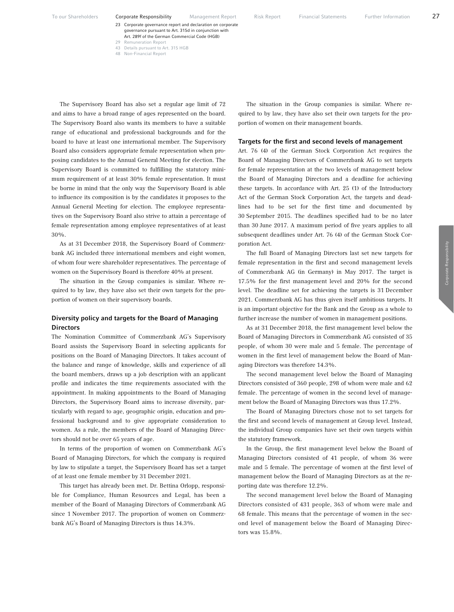23 Corporate governance report and declaration on corporate governance pursuant to Art. 315d in conjunction with Art. 289f of the German Commercial Code (HGB)

- 43 Details pursuant to Art. 315 HGB
- 48 Non-Financial Report

The Supervisory Board has also set a regular age limit of 72 and aims to have a broad range of ages represented on the board. The Supervisory Board also wants its members to have a suitable range of educational and professional backgrounds and for the board to have at least one international member. The Supervisory Board also considers appropriate female representation when proposing candidates to the Annual General Meeting for election. The Supervisory Board is committed to fulfilling the statutory minimum requirement of at least 30% female representation. It must be borne in mind that the only way the Supervisory Board is able to influence its composition is by the candidates it proposes to the Annual General Meeting for election. The employee representatives on the Supervisory Board also strive to attain a percentage of female representation among employee representatives of at least 30%.

As at 31 December 2018, the Supervisory Board of Commerzbank AG included three international members and eight women, of whom four were shareholder representatives. The percentage of women on the Supervisory Board is therefore 40% at present.

The situation in the Group companies is similar. Where required to by law, they have also set their own targets for the proportion of women on their supervisory boards.

## Diversity policy and targets for the Board of Managing **Directors**

The Nomination Committee of Commerzbank AG's Supervisory Board assists the Supervisory Board in selecting applicants for positions on the Board of Managing Directors. It takes account of the balance and range of knowledge, skills and experience of all the board members, draws up a job description with an applicant profile and indicates the time requirements associated with the appointment. In making appointments to the Board of Managing Directors, the Supervisory Board aims to increase diversity, particularly with regard to age, geographic origin, education and professional background and to give appropriate consideration to women. As a rule, the members of the Board of Managing Directors should not be over 65 years of age.

In terms of the proportion of women on Commerzbank AG's Board of Managing Directors, for which the company is required by law to stipulate a target, the Supervisory Board has set a target of at least one female member by 31 December 2021.

This target has already been met. Dr. Bettina Orlopp, responsible for Compliance, Human Resources and Legal, has been a member of the Board of Managing Directors of Commerzbank AG since 1 November 2017. The proportion of women on Commerzbank AG's Board of Managing Directors is thus 14.3%.

The situation in the Group companies is similar. Where required to by law, they have also set their own targets for the proportion of women on their management boards.

#### Targets for the first and second levels of management

Art. 76 (4) of the German Stock Corporation Act requires the Board of Managing Directors of Commerzbank AG to set targets for female representation at the two levels of management below the Board of Managing Directors and a deadline for achieving these targets. In accordance with Art. 25 (1) of the Introductory Act of the German Stock Corporation Act, the targets and deadlines had to be set for the first time and documented by 30 September 2015. The deadlines specified had to be no later than 30 June 2017. A maximum period of five years applies to all subsequent deadlines under Art. 76 (4) of the German Stock Corporation Act.

The full Board of Managing Directors last set new targets for female representation in the first and second management levels of Commerzbank AG (in Germany) in May 2017. The target is 17.5% for the first management level and 20% for the second level. The deadline set for achieving the targets is 31 December 2021. Commerzbank AG has thus given itself ambitious targets. It is an important objective for the Bank and the Group as a whole to further increase the number of women in management positions.

As at 31 December 2018, the first management level below the Board of Managing Directors in Commerzbank AG consisted of 35 people, of whom 30 were male and 5 female. The percentage of women in the first level of management below the Board of Managing Directors was therefore 14.3%.

The second management level below the Board of Managing Directors consisted of 360 people, 298 of whom were male and 62 female. The percentage of women in the second level of management below the Board of Managing Directors was thus 17.2%.

The Board of Managing Directors chose not to set targets for the first and second levels of management at Group level. Instead, the individual Group companies have set their own targets within the statutory framework.

In the Group, the first management level below the Board of Managing Directors consisted of 41 people, of whom 36 were male and 5 female. The percentage of women at the first level of management below the Board of Managing Directors as at the reporting date was therefore 12.2%.

The second management level below the Board of Managing Directors consisted of 431 people, 363 of whom were male and 68 female. This means that the percentage of women in the second level of management below the Board of Managing Directors was 15.8%.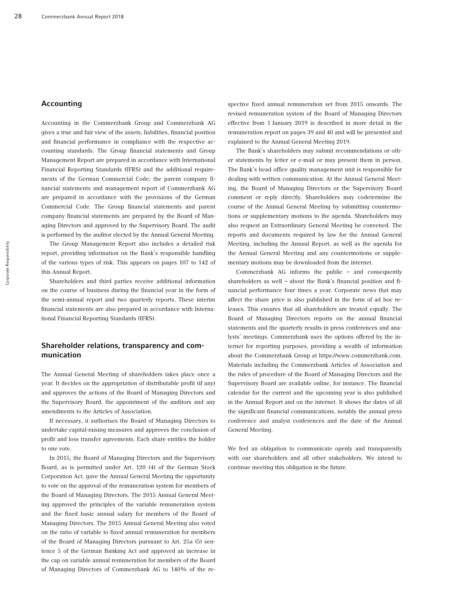## Accounting

Accounting in the Commerzbank Group and Commerzbank AG gives a true and fair view of the assets, liabilities, financial position and financial performance in compliance with the respective accounting standards. The Group financial statements and Group Management Report are prepared in accordance with International Financial Reporting Standards (IFRS) and the additional requirements of the German Commercial Code; the parent company financial statements and management report of Commerzbank AG are prepared in accordance with the provisions of the German Commercial Code. The Group financial statements and parent company financial statements are prepared by the Board of Managing Directors and approved by the Supervisory Board. The audit is performed by the auditor elected by the Annual General Meeting.

The Group Management Report also includes a detailed risk report, providing information on the Bank's responsible handling of the various types of risk. This appears on pages 107 to 142 of this Annual Report.

Shareholders and third parties receive additional information on the course of business during the financial year in the form of the semi-annual report and two quarterly reports. These interim financial statements are also prepared in accordance with International Financial Reporting Standards (IFRS).

## Shareholder relations, transparency and communication

The Annual General Meeting of shareholders takes place once a year. It decides on the appropriation of distributable profit (if any) and approves the actions of the Board of Managing Directors and the Supervisory Board, the appointment of the auditors and any amendments to the Articles of Association.

If necessary, it authorises the Board of Managing Directors to undertake capital-raising measures and approves the conclusion of profit and loss transfer agreements. Each share entitles the holder to one vote.

In 2015, the Board of Managing Directors and the Supervisory Board, as is permitted under Art. 120 (4) of the German Stock Corporation Act, gave the Annual General Meeting the opportunity to vote on the approval of the remuneration system for members of the Board of Managing Directors. The 2015 Annual General Meeting approved the principles of the variable remuneration system and the fixed basic annual salary for members of the Board of Managing Directors. The 2015 Annual General Meeting also voted on the ratio of variable to fixed annual remuneration for members of the Board of Managing Directors pursuant to Art. 25a (5) sentence 5 of the German Banking Act and approved an increase in the cap on variable annual remuneration for members of the Board of Managing Directors of Commerzbank AG to 140% of the respective fixed annual remuneration set from 2015 onwards. The revised remuneration system of the Board of Managing Directors effective from 1 January 2019 is described in more detail in the remuneration report on pages 39 and 40 and will be presented and explained to the Annual General Meeting 2019.

The Bank's shareholders may submit recommendations or other statements by letter or e-mail or may present them in person. The Bank's head office quality management unit is responsible for dealing with written communication. At the Annual General Meeting, the Board of Managing Directors or the Supervisory Board comment or reply directly. Shareholders may codetermine the course of the Annual General Meeting by submitting countermotions or supplementary motions to the agenda. Shareholders may also request an Extraordinary General Meeting be convened. The reports and documents required by law for the Annual General Meeting, including the Annual Report, as well as the agenda for the Annual General Meeting and any countermotions or supplementary motions may be downloaded from the internet.

Commerzbank AG informs the public – and consequently shareholders as well – about the Bank's financial position and financial performance four times a year. Corporate news that may affect the share price is also published in the form of ad hoc releases. This ensures that all shareholders are treated equally. The Board of Managing Directors reports on the annual financial statements and the quarterly results in press conferences and analysts' meetings. Commerzbank uses the options offered by the internet for reporting purposes, providing a wealth of information about the Commerzbank Group at https://www.commerzbank.com. Materials including the Commerzbank Articles of Association and the rules of procedure of the Board of Managing Directors and the Supervisory Board are available online, for instance. The financial calendar for the current and the upcoming year is also published in the Annual Report and on the internet. It shows the dates of all the significant financial communications, notably the annual press conference and analyst conferences and the date of the Annual General Meeting.

We feel an obligation to communicate openly and transparently with our shareholders and all other stakeholders. We intend to continue meeting this obligation in the future.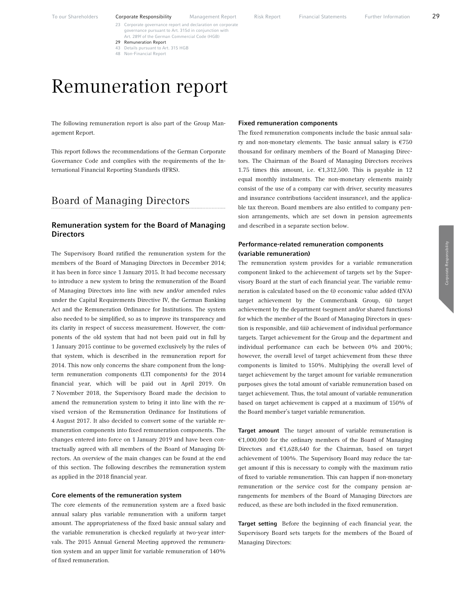29 Remuneration Report 43 Details pursuant to Art. 315 HGB

governance pursuant to Art. 315d in conjunction with Art. 289f of the German Commercial Code (HGB)

48 Non-Financial Report Remuneration report

# The following remuneration report is also part of the Group Man-

agement Report.

This report follows the recommendations of the German Corporate Governance Code and complies with the requirements of the International Financial Reporting Standards (IFRS).

# Board of Managing Directors

## Remuneration system for the Board of Managing **Directors**

The Supervisory Board ratified the remuneration system for the members of the Board of Managing Directors in December 2014; it has been in force since 1 January 2015. It had become necessary to introduce a new system to bring the remuneration of the Board of Managing Directors into line with new and/or amended rules under the Capital Requirements Directive IV, the German Banking Act and the Remuneration Ordinance for Institutions. The system also needed to be simplified, so as to improve its transparency and its clarity in respect of success measurement. However, the components of the old system that had not been paid out in full by 1 January 2015 continue to be governed exclusively by the rules of that system, which is described in the remuneration report for 2014. This now only concerns the share component from the longterm remuneration components (LTI components) for the 2014 financial year, which will be paid out in April 2019. On 7 November 2018, the Supervisory Board made the decision to amend the remuneration system to bring it into line with the revised version of the Remuneration Ordinance for Institutions of 4 August 2017. It also decided to convert some of the variable remuneration components into fixed remuneration components. The changes entered into force on 1 January 2019 and have been contractually agreed with all members of the Board of Managing Directors. An overview of the main changes can be found at the end of this section. The following describes the remuneration system as applied in the 2018 financial year.

#### Core elements of the remuneration system

The core elements of the remuneration system are a fixed basic annual salary plus variable remuneration with a uniform target amount. The appropriateness of the fixed basic annual salary and the variable remuneration is checked regularly at two-year intervals. The 2015 Annual General Meeting approved the remuneration system and an upper limit for variable remuneration of 140% of fixed remuneration.

#### Fixed remuneration components

The fixed remuneration components include the basic annual salary and non-monetary elements. The basic annual salary is  $€750$ thousand for ordinary members of the Board of Managing Directors. The Chairman of the Board of Managing Directors receives 1.75 times this amount, i.e.  $\text{\textsterling}1,312,500$ . This is payable in 12 equal monthly instalments. The non-monetary elements mainly consist of the use of a company car with driver, security measures and insurance contributions (accident insurance), and the applicable tax thereon. Board members are also entitled to company pension arrangements, which are set down in pension agreements and described in a separate section below.

## Performance-related remuneration components (variable remuneration)

The remuneration system provides for a variable remuneration component linked to the achievement of targets set by the Supervisory Board at the start of each financial year. The variable remuneration is calculated based on the (i) economic value added (EVA) target achievement by the Commerzbank Group, (ii) target achievement by the department (segment and/or shared functions) for which the member of the Board of Managing Directors in question is responsible, and (iii) achievement of individual performance targets. Target achievement for the Group and the department and individual performance can each be between 0% and 200%; however, the overall level of target achievement from these three components is limited to 150%. Multiplying the overall level of target achievement by the target amount for variable remuneration purposes gives the total amount of variable remuneration based on target achievement. Thus, the total amount of variable remuneration based on target achievement is capped at a maximum of 150% of the Board member's target variable remuneration.

Target amount The target amount of variable remuneration is €1,000,000 for the ordinary members of the Board of Managing Directors and €1,628,640 for the Chairman, based on target achievement of 100%. The Supervisory Board may reduce the target amount if this is necessary to comply with the maximum ratio of fixed to variable remuneration. This can happen if non-monetary remuneration or the service cost for the company pension arrangements for members of the Board of Managing Directors are reduced, as these are both included in the fixed remuneration.

Target setting Before the beginning of each financial year, the Supervisory Board sets targets for the members of the Board of Managing Directors: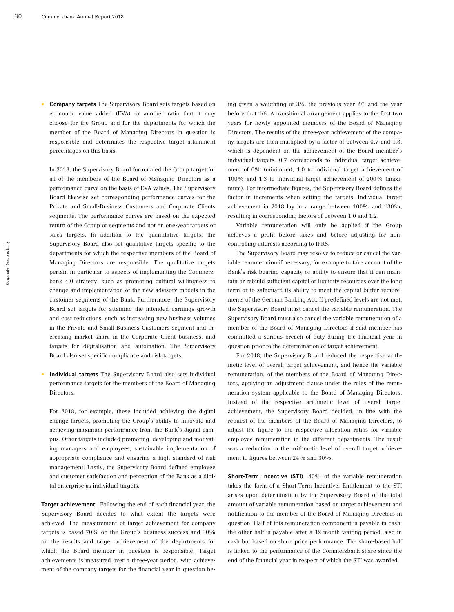• Company targets The Supervisory Board sets targets based on economic value added (EVA) or another ratio that it may choose for the Group and for the departments for which the member of the Board of Managing Directors in question is responsible and determines the respective target attainment percentages on this basis.

In 2018, the Supervisory Board formulated the Group target for all of the members of the Board of Managing Directors as a performance curve on the basis of EVA values. The Supervisory Board likewise set corresponding performance curves for the Private and Small-Business Customers and Corporate Clients segments. The performance curves are based on the expected return of the Group or segments and not on one-year targets or sales targets. In addition to the quantitative targets, the Supervisory Board also set qualitative targets specific to the departments for which the respective members of the Board of Managing Directors are responsible. The qualitative targets pertain in particular to aspects of implementing the Commerzbank 4.0 strategy, such as promoting cultural willingness to change and implementation of the new advisory models in the customer segments of the Bank. Furthermore, the Supervisory Board set targets for attaining the intended earnings growth and cost reductions, such as increasing new business volumes in the Private and Small-Business Customers segment and increasing market share in the Corporate Client business, and targets for digitalisation and automation. The Supervisory Board also set specific compliance and risk targets.

• Individual targets The Supervisory Board also sets individual performance targets for the members of the Board of Managing Directors.

For 2018, for example, these included achieving the digital change targets, promoting the Group's ability to innovate and achieving maximum performance from the Bank's digital campus. Other targets included promoting, developing and motivating managers and employees, sustainable implementation of appropriate compliance and ensuring a high standard of risk management. Lastly, the Supervisory Board defined employee and customer satisfaction and perception of the Bank as a digital enterprise as individual targets.

Target achievement Following the end of each financial year, the Supervisory Board decides to what extent the targets were achieved. The measurement of target achievement for company targets is based 70% on the Group's business success and 30% on the results and target achievement of the departments for which the Board member in question is responsible. Target achievements is measured over a three-year period, with achievement of the company targets for the financial year in question being given a weighting of 3/6, the previous year 2/6 and the year before that 1/6. A transitional arrangement applies to the first two years for newly appointed members of the Board of Managing Directors. The results of the three-year achievement of the company targets are then multiplied by a factor of between 0.7 and 1.3, which is dependent on the achievement of the Board member's individual targets. 0.7 corresponds to individual target achievement of 0% (minimum), 1.0 to individual target achievement of 100% and 1.3 to individual target achievement of 200% (maximum). For intermediate figures, the Supervisory Board defines the factor in increments when setting the targets. Individual target achievement in 2018 lay in a range between 100% and 130%, resulting in corresponding factors of between 1.0 and 1.2.

Variable remuneration will only be applied if the Group achieves a profit before taxes and before adjusting for noncontrolling interests according to IFRS.

The Supervisory Board may resolve to reduce or cancel the variable remuneration if necessary, for example to take account of the Bank's risk-bearing capacity or ability to ensure that it can maintain or rebuild sufficient capital or liquidity resources over the long term or to safeguard its ability to meet the capital buffer requirements of the German Banking Act. If predefined levels are not met, the Supervisory Board must cancel the variable remuneration. The Supervisory Board must also cancel the variable remuneration of a member of the Board of Managing Directors if said member has committed a serious breach of duty during the financial year in question prior to the determination of target achievement.

For 2018, the Supervisory Board reduced the respective arithmetic level of overall target achievement, and hence the variable remuneration, of the members of the Board of Managing Directors, applying an adjustment clause under the rules of the remuneration system applicable to the Board of Managing Directors. Instead of the respective arithmetic level of overall target achievement, the Supervisory Board decided, in line with the request of the members of the Board of Managing Directors, to adjust the figure to the respective allocation ratios for variable employee remuneration in the different departments. The result was a reduction in the arithmetic level of overall target achievement to figures between 24% and 30%.

Short-Term Incentive (STI) 40% of the variable remuneration takes the form of a Short-Term Incentive. Entitlement to the STI arises upon determination by the Supervisory Board of the total amount of variable remuneration based on target achievement and notification to the member of the Board of Managing Directors in question. Half of this remuneration component is payable in cash; the other half is payable after a 12-month waiting period, also in cash but based on share price performance. The share-based half is linked to the performance of the Commerzbank share since the end of the financial year in respect of which the STI was awarded.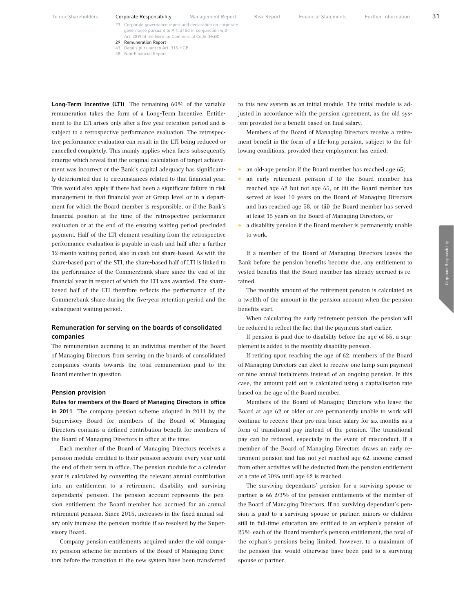- 23 Corporate governance report and declaration on corporate governance pursuant to Art. 315d in conjunction with Art. 289f of the German Commercial Code (HGB)
- 29 Remuneration Report
	- 43 Details pursuant to Art. 315 HGB
	- 48 Non-Financial Report

Long-Term Incentive (LTI) The remaining 60% of the variable remuneration takes the form of a Long-Term Incentive. Entitlement to the LTI arises only after a five-year retention period and is subject to a retrospective performance evaluation. The retrospective performance evaluation can result in the LTI being reduced or cancelled completely. This mainly applies when facts subsequently emerge which reveal that the original calculation of target achievement was incorrect or the Bank's capital adequacy has significantly deteriorated due to circumstances related to that financial year. This would also apply if there had been a significant failure in risk management in that financial year at Group level or in a department for which the Board member is responsible, or if the Bank's financial position at the time of the retrospective performance evaluation or at the end of the ensuing waiting period precluded payment. Half of the LTI element resulting from the retrospective performance evaluation is payable in cash and half after a further 12-month waiting period, also in cash but share-based. As with the share-based part of the STI, the share-based half of LTI is linked to the performance of the Commerzbank share since the end of the financial year in respect of which the LTI was awarded. The sharebased half of the LTI therefore reflects the performance of the Commerzbank share during the five-year retention period and the subsequent waiting period.

## Remuneration for serving on the boards of consolidated companies

The remuneration accruing to an individual member of the Board of Managing Directors from serving on the boards of consolidated companies counts towards the total remuneration paid to the Board member in question.

#### Pension provision

Rules for members of the Board of Managing Directors in office in 2011 The company pension scheme adopted in 2011 by the Supervisory Board for members of the Board of Managing Directors contains a defined contribution benefit for members of the Board of Managing Directors in office at the time.

Each member of the Board of Managing Directors receives a pension module credited to their pension account every year until the end of their term in office. The pension module for a calendar year is calculated by converting the relevant annual contribution into an entitlement to a retirement, disability and surviving dependants' pension. The pension account represents the pension entitlement the Board member has accrued for an annual retirement pension. Since 2015, increases in the fixed annual salary only increase the pension module if so resolved by the Supervisory Board.

Company pension entitlements acquired under the old company pension scheme for members of the Board of Managing Directors before the transition to the new system have been transferred

to this new system as an initial module. The initial module is adjusted in accordance with the pension agreement, as the old system provided for a benefit based on final salary.

Members of the Board of Managing Directors receive a retirement benefit in the form of a life-long pension, subject to the following conditions, provided their employment has ended:

- an old-age pension if the Board member has reached age 65;
- an early retirement pension if (i) the Board member has reached age 62 but not age 65, or (ii) the Board member has served at least 10 years on the Board of Managing Directors and has reached age 58, or (iii) the Board member has served at least 15 years on the Board of Managing Directors, or
- a disability pension if the Board member is permanently unable to work.

If a member of the Board of Managing Directors leaves the Bank before the pension benefits become due, any entitlement to vested benefits that the Board member has already accrued is retained.

The monthly amount of the retirement pension is calculated as a twelfth of the amount in the pension account when the pension benefits start.

When calculating the early retirement pension, the pension will be reduced to reflect the fact that the payments start earlier.

If pension is paid due to disability before the age of 55, a supplement is added to the monthly disability pension.

If retiring upon reaching the age of 62, members of the Board of Managing Directors can elect to receive one lump-sum payment or nine annual instalments instead of an ongoing pension. In this case, the amount paid out is calculated using a capitalisation rate based on the age of the Board member.

Members of the Board of Managing Directors who leave the Board at age 62 or older or are permanently unable to work will continue to receive their pro-rata basic salary for six months as a form of transitional pay instead of the pension. The transitional pay can be reduced, especially in the event of misconduct. If a member of the Board of Managing Directors draws an early retirement pension and has not yet reached age 62, income earned from other activities will be deducted from the pension entitlement at a rate of 50% until age 62 is reached.

The surviving dependants' pension for a surviving spouse or partner is 66 2/3% of the pension entitlements of the member of the Board of Managing Directors. If no surviving dependant's pension is paid to a surviving spouse or partner, minors or children still in full-time education are entitled to an orphan's pension of 25% each of the Board member's pension entitlement, the total of the orphan's pensions being limited, however, to a maximum of the pension that would otherwise have been paid to a surviving spouse or partner.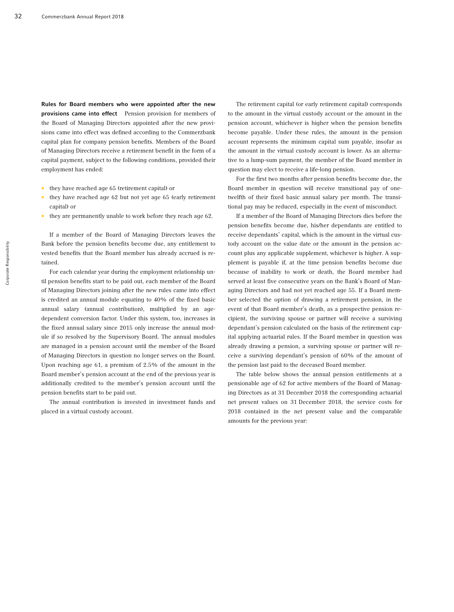Rules for Board members who were appointed after the new provisions came into effect Pension provision for members of the Board of Managing Directors appointed after the new provisions came into effect was defined according to the Commerzbank capital plan for company pension benefits. Members of the Board of Managing Directors receive a retirement benefit in the form of a capital payment, subject to the following conditions, provided their employment has ended:

- they have reached age 65 (retirement capital) or
- they have reached age 62 but not yet age 65 (early retirement capital) or
- they are permanently unable to work before they reach age 62.

If a member of the Board of Managing Directors leaves the Bank before the pension benefits become due, any entitlement to vested benefits that the Board member has already accrued is retained.

For each calendar year during the employment relationship until pension benefits start to be paid out, each member of the Board of Managing Directors joining after the new rules came into effect is credited an annual module equating to 40% of the fixed basic annual salary (annual contribution), multiplied by an agedependent conversion factor. Under this system, too, increases in the fixed annual salary since 2015 only increase the annual module if so resolved by the Supervisory Board. The annual modules are managed in a pension account until the member of the Board of Managing Directors in question no longer serves on the Board. Upon reaching age 61, a premium of 2.5% of the amount in the Board member's pension account at the end of the previous year is additionally credited to the member's pension account until the pension benefits start to be paid out.

The annual contribution is invested in investment funds and placed in a virtual custody account.

The retirement capital (or early retirement capital) corresponds to the amount in the virtual custody account or the amount in the pension account, whichever is higher when the pension benefits become payable. Under these rules, the amount in the pension account represents the minimum capital sum payable, insofar as the amount in the virtual custody account is lower. As an alternative to a lump-sum payment, the member of the Board member in question may elect to receive a life-long pension.

For the first two months after pension benefits become due, the Board member in question will receive transitional pay of onetwelfth of their fixed basic annual salary per month. The transitional pay may be reduced, especially in the event of misconduct.

If a member of the Board of Managing Directors dies before the pension benefits become due, his/her dependants are entitled to receive dependants' capital, which is the amount in the virtual custody account on the value date or the amount in the pension account plus any applicable supplement, whichever is higher. A supplement is payable if, at the time pension benefits become due because of inability to work or death, the Board member had served at least five consecutive years on the Bank's Board of Managing Directors and had not yet reached age 55. If a Board member selected the option of drawing a retirement pension, in the event of that Board member's death, as a prospective pension recipient, the surviving spouse or partner will receive a surviving dependant's pension calculated on the basis of the retirement capital applying actuarial rules. If the Board member in question was already drawing a pension, a surviving spouse or partner will receive a surviving dependant's pension of 60% of the amount of the pension last paid to the deceased Board member.

The table below shows the annual pension entitlements at a pensionable age of 62 for active members of the Board of Managing Directors as at 31 December 2018 the corresponding actuarial net present values on 31 December 2018, the service costs for 2018 contained in the net present value and the comparable amounts for the previous year: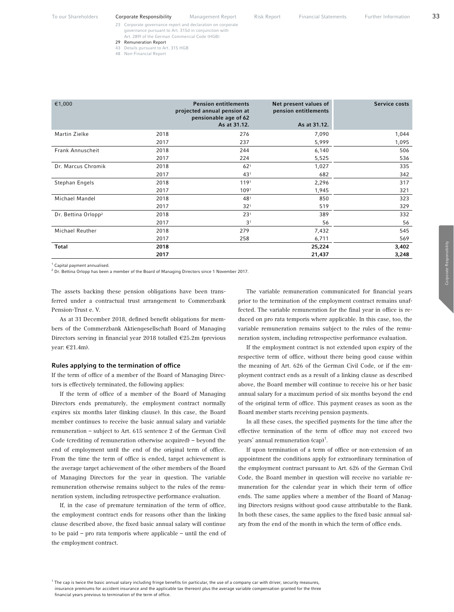- 23 Corporate governance report and declaration on corporate governance pursuant to Art. 315d in conjunction with Art. 289f of the German Commercial Code (HGB)
- 29 Remuneration Report

€1,000 Pension entitlements

- 43 Details pursuant to Art. 315 HGB
- 48 Non-Financial Report

|                | 2017 | $43^{\circ}$     | 682   | 342 |
|----------------|------|------------------|-------|-----|
| Stephan Engels | 2018 | 119 <sup>1</sup> | 2,296 | 317 |
|                | 2017 | 1091             | .945  | 321 |
| Michael Mandel | 2018 | 48 <sup>°</sup>  | 850   | 323 |

projected annual pension at pensionable age of 62 As at 31.12.

Martin Zielke 2018 276 7,090 1,044 2017 237 5,999 1,095 Frank Annuscheit 2018 244 6,140 506 2017 224 5,525 536 Dr. Marcus Chromik 2018 1,027 335

 $2017$  32<sup>1</sup> 519 519 329 Dr. Bettina Orlopp2 2018 231 389 332  $2017$  3<sup>1</sup> 56 56 Michael Reuther 2018 279 7,432 545 2017 258 6,711 569 Total 2018 25,224 3,402 2017 21,437 3,248

<sup>1</sup> Capital payment annualised.

 $<sup>2</sup>$  Dr. Bettina Orlopp has been a member of the Board of Managing Directors since 1 November 2017.</sup>

The assets backing these pension obligations have been transferred under a contractual trust arrangement to Commerzbank Pension-Trust e. V.

As at 31 December 2018, defined benefit obligations for members of the Commerzbank Aktiengesellschaft Board of Managing Directors serving in financial year 2018 totalled €25.2m (previous year: €21.4m).

#### Rules applying to the termination of office

If the term of office of a member of the Board of Managing Directors is effectively terminated, the following applies:

If the term of office of a member of the Board of Managing Directors ends prematurely, the employment contract normally expires six months later (linking clause). In this case, the Board member continues to receive the basic annual salary and variable remuneration – subject to Art. 615 sentence 2 of the German Civil Code (crediting of remuneration otherwise acquired) – beyond the end of employment until the end of the original term of office. From the time the term of office is ended, target achievement is the average target achievement of the other members of the Board of Managing Directors for the year in question. The variable remuneration otherwise remains subject to the rules of the remuneration system, including retrospective performance evaluation.

If, in the case of premature termination of the term of office, the employment contract ends for reasons other than the linking clause described above, the fixed basic annual salary will continue to be paid – pro rata temporis where applicable – until the end of the employment contract.

The variable remuneration communicated for financial years prior to the termination of the employment contract remains unaffected. The variable remuneration for the final year in office is reduced on pro rata temporis where applicable. In this case, too, the variable remuneration remains subject to the rules of the remuneration system, including retrospective performance evaluation.

If the employment contract is not extended upon expiry of the respective term of office, without there being good cause within the meaning of Art. 626 of the German Civil Code, or if the employment contract ends as a result of a linking clause as described above, the Board member will continue to receive his or her basic annual salary for a maximum period of six months beyond the end of the original term of office. This payment ceases as soon as the Board member starts receiving pension payments.

In all these cases, the specified payments for the time after the effective termination of the term of office may not exceed two years' annual remuneration (cap)<sup>1</sup>.

If upon termination of a term of office or non-extension of an appointment the conditions apply for extraordinary termination of the employment contract pursuant to Art. 626 of the German Civil Code, the Board member in question will receive no variable remuneration for the calendar year in which their term of office ends. The same applies where a member of the Board of Managing Directors resigns without good cause attributable to the Bank. In both these cases, the same applies to the fixed basic annual salary from the end of the month in which the term of office ends.

Service costs

 $1$  The cap is twice the basic annual salary including fringe benefits (in particular, the use of a company car with driver, security measures, insurance premiums for accident insurance and the applicable tax thereon) plus the average variable compensation granted for the three financial years previous to termination of the term of office.

Net present values of pension entitlements

As at 31.12.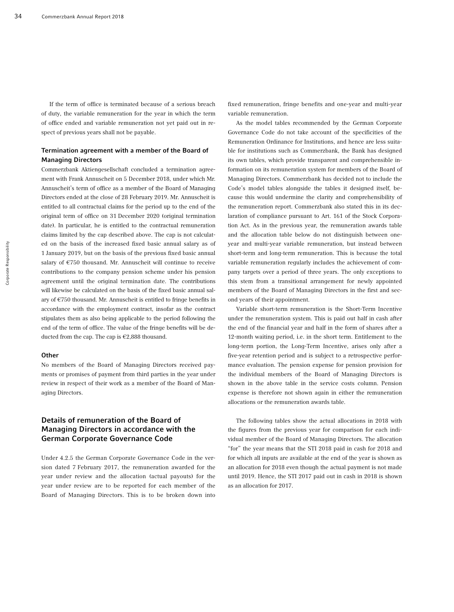If the term of office is terminated because of a serious breach of duty, the variable remuneration for the year in which the term of office ended and variable remuneration not yet paid out in respect of previous years shall not be payable.

## Termination agreement with a member of the Board of Managing Directors

Commerzbank Aktiengesellschaft concluded a termination agreement with Frank Annuscheit on 5 December 2018, under which Mr. Annuscheit's term of office as a member of the Board of Managing Directors ended at the close of 28 February 2019. Mr. Annuscheit is entitled to all contractual claims for the period up to the end of the original term of office on 31 December 2020 (original termination date). In particular, he is entitled to the contractual remuneration claims limited by the cap described above. The cap is not calculated on the basis of the increased fixed basic annual salary as of 1 January 2019, but on the basis of the previous fixed basic annual salary of €750 thousand. Mr. Annuscheit will continue to receive contributions to the company pension scheme under his pension agreement until the original termination date. The contributions will likewise be calculated on the basis of the fixed basic annual salary of €750 thousand. Mr. Annuscheit is entitled to fringe benefits in accordance with the employment contract, insofar as the contract stipulates them as also being applicable to the period following the end of the term of office. The value of the fringe benefits will be deducted from the cap. The cap is €2,888 thousand.

### **Other**

No members of the Board of Managing Directors received payments or promises of payment from third parties in the year under review in respect of their work as a member of the Board of Managing Directors.

## Details of remuneration of the Board of Managing Directors in accordance with the German Corporate Governance Code

Under 4.2.5 the German Corporate Governance Code in the version dated 7 February 2017, the remuneration awarded for the year under review and the allocation (actual payouts) for the year under review are to be reported for each member of the Board of Managing Directors. This is to be broken down into

fixed remuneration, fringe benefits and one-year and multi-year variable remuneration.

As the model tables recommended by the German Corporate Governance Code do not take account of the specificities of the Remuneration Ordinance for Institutions, and hence are less suitable for institutions such as Commerzbank, the Bank has designed its own tables, which provide transparent and comprehensible information on its remuneration system for members of the Board of Managing Directors. Commerzbank has decided not to include the Code's model tables alongside the tables it designed itself, because this would undermine the clarity and comprehensibility of the remuneration report. Commerzbank also stated this in its declaration of compliance pursuant to Art. 161 of the Stock Corporation Act. As in the previous year, the remuneration awards table and the allocation table below do not distinguish between oneyear and multi-year variable remuneration, but instead between short-term and long-term remuneration. This is because the total variable remuneration regularly includes the achievement of company targets over a period of three years. The only exceptions to this stem from a transitional arrangement for newly appointed members of the Board of Managing Directors in the first and second years of their appointment.

Variable short-term remuneration is the Short-Term Incentive under the remuneration system. This is paid out half in cash after the end of the financial year and half in the form of shares after a 12-month waiting period, i.e. in the short term. Entitlement to the long-term portion, the Long-Term Incentive, arises only after a five-year retention period and is subject to a retrospective performance evaluation. The pension expense for pension provision for the individual members of the Board of Managing Directors is shown in the above table in the service costs column. Pension expense is therefore not shown again in either the remuneration allocations or the remuneration awards table.

The following tables show the actual allocations in 2018 with the figures from the previous year for comparison for each individual member of the Board of Managing Directors. The allocation "for" the year means that the STI 2018 paid in cash for 2018 and for which all inputs are available at the end of the year is shown as an allocation for 2018 even though the actual payment is not made until 2019. Hence, the STI 2017 paid out in cash in 2018 is shown as an allocation for 2017.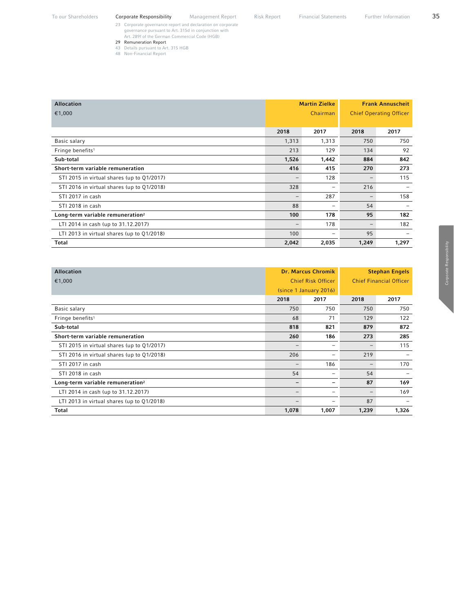- 23 Corporate governance report and declaration on corporate governance pursuant to Art. 315d in conjunction with Art. 289f of the German Commercial Code (HGB)
- 29 Remuneration Report
- 43 Details pursuant to Art. 315 HGB
- 48 Non-Financial Report

| <b>Allocation</b>                            |                   | <b>Martin Zielke</b> | <b>Frank Annuscheit</b>        |                          |  |
|----------------------------------------------|-------------------|----------------------|--------------------------------|--------------------------|--|
| €1,000                                       |                   | Chairman             | <b>Chief Operating Officer</b> |                          |  |
|                                              |                   |                      |                                |                          |  |
|                                              | 2018              | 2017                 | 2018                           | 2017                     |  |
| Basic salary                                 | 1,313             | 1,313                | 750                            | 750                      |  |
| Fringe benefits <sup>1</sup>                 | 213               | 129                  | 134                            | 92                       |  |
| Sub-total                                    | 1,526             | 1,442                | 884                            | 842                      |  |
| Short-term variable remuneration             | 416               | 415                  | 270                            | 273                      |  |
| STI 2015 in virtual shares (up to Q1/2017)   |                   | 128                  |                                | 115                      |  |
| STI 2016 in virtual shares (up to Q1/2018)   | 328               |                      | 216                            |                          |  |
| STI 2017 in cash                             | $\qquad \qquad -$ | 287                  |                                | 158                      |  |
| STI 2018 in cash                             | 88                |                      | 54                             | $\overline{\phantom{0}}$ |  |
| Long-term variable remuneration <sup>2</sup> | 100               | 178                  | 95                             | 182                      |  |
| LTI 2014 in cash (up to 31.12.2017)          |                   | 178                  |                                | 182                      |  |
| LTI 2013 in virtual shares (up to Q1/2018)   | 100               | -                    | 95                             | $\overline{\phantom{0}}$ |  |
| Total                                        | 2,042             | 2,035                | 1,249                          | 1,297                    |  |

| <b>Allocation</b>                            |       | <b>Dr. Marcus Chromik</b> |                                | <b>Stephan Engels</b> |  |
|----------------------------------------------|-------|---------------------------|--------------------------------|-----------------------|--|
| €1,000                                       |       | <b>Chief Risk Officer</b> | <b>Chief Financial Officer</b> |                       |  |
|                                              |       | (since 1 January 2016)    |                                |                       |  |
|                                              | 2018  | 2017                      | 2018                           | 2017                  |  |
| Basic salary                                 | 750   | 750                       | 750                            | 750                   |  |
| Fringe benefits <sup>1</sup>                 | 68    | 71                        | 129                            | 122                   |  |
| Sub-total                                    | 818   | 821                       | 879                            | 872                   |  |
| Short-term variable remuneration             | 260   | 186                       | 273                            | 285                   |  |
| STI 2015 in virtual shares (up to Q1/2017)   |       | $\qquad \qquad$           | $\overline{\phantom{a}}$       | 115                   |  |
| STI 2016 in virtual shares (up to Q1/2018)   | 206   | $\qquad \qquad$           | 219                            |                       |  |
| STI 2017 in cash                             |       | 186                       | $\qquad \qquad -$              | 170                   |  |
| STI 2018 in cash                             | 54    | $\qquad \qquad$           | 54                             |                       |  |
| Long-term variable remuneration <sup>2</sup> |       | $\overline{\phantom{m}}$  | 87                             | 169                   |  |
| LTI 2014 in cash (up to 31.12.2017)          |       | $\qquad \qquad$           | $\overline{\phantom{m}}$       | 169                   |  |
| LTI 2013 in virtual shares (up to Q1/2018)   |       | -                         | 87                             |                       |  |
| Total                                        | 1,078 | 1,007                     | 1,239                          | 1,326                 |  |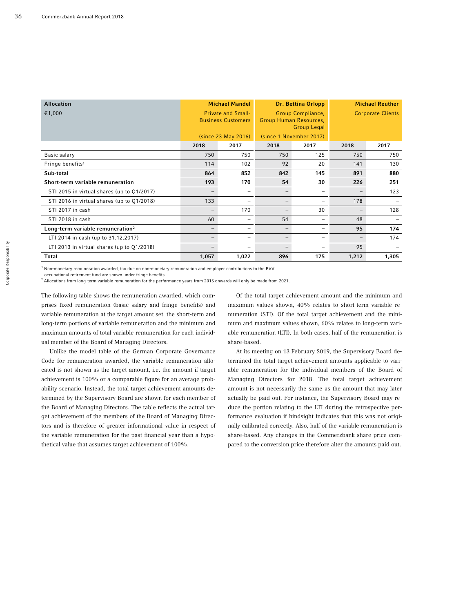| <b>Allocation</b>                            |                           | <b>Michael Mandel</b>     |                         | Dr. Bettina Orlopp                           | <b>Michael Reuther</b>   |       |
|----------------------------------------------|---------------------------|---------------------------|-------------------------|----------------------------------------------|--------------------------|-------|
| €1,000                                       | <b>Private and Small-</b> |                           | Group Compliance,       |                                              | <b>Corporate Clients</b> |       |
|                                              |                           | <b>Business Customers</b> |                         | Group Human Resources,<br><b>Group Legal</b> |                          |       |
|                                              |                           | (since 23 May 2016)       | (since 1 November 2017) |                                              |                          |       |
|                                              | 2018                      | 2017                      | 2018                    | 2017                                         | 2018                     | 2017  |
| Basic salary                                 | 750                       | 750                       | 750                     | 125                                          | 750                      | 750   |
| Fringe benefits <sup>1</sup>                 | 114                       | 102                       | 92                      | 20                                           | 141                      | 130   |
| Sub-total                                    | 864                       | 852                       | 842                     | 145                                          | 891                      | 880   |
| Short-term variable remuneration             | 193                       | 170                       | 54                      | 30                                           | 226                      | 251   |
| STI 2015 in virtual shares (up to Q1/2017)   |                           | $\overline{\phantom{0}}$  |                         | $\qquad \qquad$                              | $\overline{\phantom{m}}$ | 123   |
| STI 2016 in virtual shares (up to Q1/2018)   | 133                       |                           |                         | $\qquad \qquad$                              | 178                      |       |
| STI 2017 in cash                             | -                         | 170                       |                         | 30                                           | $\qquad \qquad -$        | 128   |
| STI 2018 in cash                             | 60                        | -                         | 54                      | $\qquad \qquad$                              | 48                       |       |
| Long-term variable remuneration <sup>2</sup> |                           |                           |                         | $\qquad \qquad$                              | 95                       | 174   |
| LTI 2014 in cash (up to 31.12.2017)          | -                         |                           |                         | $\qquad \qquad$                              | $\overline{\phantom{m}}$ | 174   |
| LTI 2013 in virtual shares (up to Q1/2018)   |                           |                           |                         |                                              | 95                       |       |
| Total                                        | 1,057                     | 1,022                     | 896                     | 175                                          | 1,212                    | 1,305 |

 $^{\rm 1}$  Non-monetary remuneration awarded, tax due on non-monetary remuneration and employer contributions to the BVV

occupational retirement fund are shown under fringe benefits.

 $^2$  Allocations from long-term variable remuneration for the performance years from 2015 onwards will only be made from 2021.

The following table shows the remuneration awarded, which comprises fixed remuneration (basic salary and fringe benefits) and variable remuneration at the target amount set, the short-term and long-term portions of variable remuneration and the minimum and maximum amounts of total variable remuneration for each individual member of the Board of Managing Directors.

Unlike the model table of the German Corporate Governance Code for remuneration awarded, the variable remuneration allocated is not shown as the target amount, i.e. the amount if target achievement is 100% or a comparable figure for an average probability scenario. Instead, the total target achievement amounts determined by the Supervisory Board are shown for each member of the Board of Managing Directors. The table reflects the actual target achievement of the members of the Board of Managing Directors and is therefore of greater informational value in respect of the variable remuneration for the past financial year than a hypothetical value that assumes target achievement of 100%.

Of the total target achievement amount and the minimum and maximum values shown, 40% relates to short-term variable remuneration (STI). Of the total target achievement and the minimum and maximum values shown, 60% relates to long-term variable remuneration (LTI). In both cases, half of the remuneration is share-based.

At its meeting on 13 February 2019, the Supervisory Board determined the total target achievement amounts applicable to variable remuneration for the individual members of the Board of Managing Directors for 2018. The total target achievement amount is not necessarily the same as the amount that may later actually be paid out. For instance, the Supervisory Board may reduce the portion relating to the LTI during the retrospective performance evaluation if hindsight indicates that this was not originally calibrated correctly. Also, half of the variable remuneration is share-based. Any changes in the Commerzbank share price compared to the conversion price therefore alter the amounts paid out.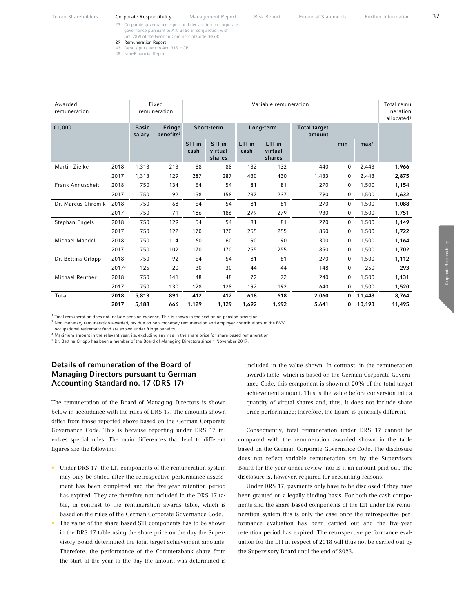- 23 Corporate governance report and declaration on corporate governance pursuant to Art. 315d in conjunction with Art. 289f of the German Commercial Code (HGB)
- 29 Remuneration Report
- 43 Details pursuant to Art. 315 HGB
- 48 Non-Financial Report

| Awarded<br>remuneration |       |                        | Fixed<br>remuneration                  |                | Variable remuneration       |                |                             |                               |     |                  | Total remu<br>neration<br>allocated <sup>1</sup> |
|-------------------------|-------|------------------------|----------------------------------------|----------------|-----------------------------|----------------|-----------------------------|-------------------------------|-----|------------------|--------------------------------------------------|
| €1,000                  |       | <b>Basic</b><br>salary | <b>Fringe</b><br>benefits <sup>2</sup> |                | Short-term                  |                | Long-term                   | <b>Total target</b><br>amount |     |                  |                                                  |
|                         |       |                        |                                        | STI in<br>cash | STI in<br>virtual<br>shares | LTI in<br>cash | LTI in<br>virtual<br>shares |                               | min | max <sup>3</sup> |                                                  |
| Martin Zielke           | 2018  | 1,313                  | 213                                    | 88             | 88                          | 132            | 132                         | 440                           | 0   | 2,443            | 1,966                                            |
|                         | 2017  | 1,313                  | 129                                    | 287            | 287                         | 430            | 430                         | 1,433                         | 0   | 2,443            | 2,875                                            |
| Frank Annuscheit        | 2018  | 750                    | 134                                    | 54             | 54                          | 81             | 81                          | 270                           | 0   | 1,500            | 1,154                                            |
|                         | 2017  | 750                    | 92                                     | 158            | 158                         | 237            | 237                         | 790                           | 0   | 1,500            | 1,632                                            |
| Dr. Marcus Chromik      | 2018  | 750                    | 68                                     | 54             | 54                          | 81             | 81                          | 270                           | 0   | 1,500            | 1,088                                            |
|                         | 2017  | 750                    | 71                                     | 186            | 186                         | 279            | 279                         | 930                           | 0   | 1,500            | 1,751                                            |
| Stephan Engels          | 2018  | 750                    | 129                                    | 54             | 54                          | 81             | 81                          | 270                           | 0   | 1,500            | 1,149                                            |
|                         | 2017  | 750                    | 122                                    | 170            | 170                         | 255            | 255                         | 850                           | 0   | 1,500            | 1,722                                            |
| Michael Mandel          | 2018  | 750                    | 114                                    | 60             | 60                          | 90             | 90                          | 300                           | 0   | 1,500            | 1,164                                            |
|                         | 2017  | 750                    | 102                                    | 170            | 170                         | 255            | 255                         | 850                           | 0   | 1,500            | 1,702                                            |
| Dr. Bettina Orlopp      | 2018  | 750                    | 92                                     | 54             | 54                          | 81             | 81                          | 270                           | 0   | 1,500            | 1,112                                            |
|                         | 20174 | 125                    | 20                                     | 30             | 30                          | 44             | 44                          | 148                           | 0   | 250              | 293                                              |
| Michael Reuther         | 2018  | 750                    | 141                                    | 48             | 48                          | 72             | 72                          | 240                           | 0   | 1,500            | 1,131                                            |
|                         | 2017  | 750                    | 130                                    | 128            | 128                         | 192            | 192                         | 640                           | 0   | 1,500            | 1,520                                            |
| Total                   | 2018  | 5,813                  | 891                                    | 412            | 412                         | 618            | 618                         | 2,060                         | 0   | 11,443           | 8,764                                            |
|                         | 2017  | 5,188                  | 666                                    | 1,129          | 1,129                       | 1,692          | 1,692                       | 5,641                         | 0   | 10,193           | 11,495                                           |

 $1$  Total remuneration does not include pension expense. This is shown in the section on pension provision.<br> $2 \text{ Npc}$  meastar composation avanded to due as non-manatary composation and employer particuliaries

 $2$  Non-monetary remuneration awarded, tax due on non-monetary remuneration and employer contributions to the BVV

occupational retirement fund are shown under fringe benefits.

 $^3$  Maximum amount in the relevant year, i.e. excluding any rise in the share price for share-based remuneration.<br> $^4$  De Betting Oclone has been a momber of the Board of Managing Disector since 1 November 2017

 $^4$  Dr. Bettina Orlopp has been a member of the Board of Managing Directors since 1 November 2017.

## Details of remuneration of the Board of Managing Directors pursuant to German Accounting Standard no. 17 (DRS 17)

The remuneration of the Board of Managing Directors is shown below in accordance with the rules of DRS 17. The amounts shown differ from those reported above based on the German Corporate Governance Code. This is because reporting under DRS 17 involves special rules. The main differences that lead to different figures are the following:

- Under DRS 17, the LTI components of the remuneration system may only be stated after the retrospective performance assessment has been completed and the five-year retention period has expired. They are therefore not included in the DRS 17 table, in contrast to the remuneration awards table, which is based on the rules of the German Corporate Governance Code.
- The value of the share-based STI components has to be shown in the DRS 17 table using the share price on the day the Supervisory Board determined the total target achievement amounts. Therefore, the performance of the Commerzbank share from the start of the year to the day the amount was determined is

included in the value shown. In contrast, in the remuneration awards table, which is based on the German Corporate Governance Code, this component is shown at 20% of the total target achievement amount. This is the value before conversion into a quantity of virtual shares and, thus, it does not include share price performance; therefore, the figure is generally different.

Consequently, total remuneration under DRS 17 cannot be compared with the remuneration awarded shown in the table based on the German Corporate Governance Code. The disclosure does not reflect variable remuneration set by the Supervisory Board for the year under review, nor is it an amount paid out. The disclosure is, however, required for accounting reasons.

Under DRS 17, payments only have to be disclosed if they have been granted on a legally binding basis. For both the cash components and the share-based components of the LTI under the remuneration system this is only the case once the retrospective performance evaluation has been carried out and the five-year retention period has expired. The retrospective performance evaluation for the LTI in respect of 2018 will thus not be carried out by the Supervisory Board until the end of 2023.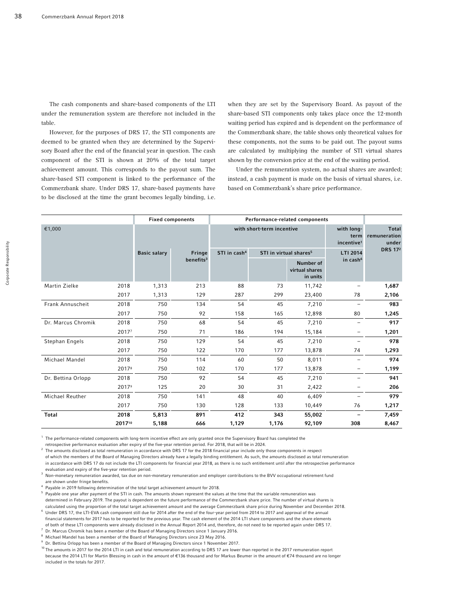The cash components and share-based components of the LTI under the remuneration system are therefore not included in the table.

However, for the purposes of DRS 17, the STI components are deemed to be granted when they are determined by the Supervisory Board after the end of the financial year in question. The cash component of the STI is shown at 20% of the total target achievement amount. This corresponds to the payout sum. The share-based STI component is linked to the performance of the Commerzbank share. Under DRS 17, share-based payments have to be disclosed at the time the grant becomes legally binding, i.e.

when they are set by the Supervisory Board. As payout of the share-based STI components only takes place once the 12-month waiting period has expired and is dependent on the performance of the Commerzbank share, the table shows only theoretical values for these components, not the sums to be paid out. The payout sums are calculated by multiplying the number of STI virtual shares shown by the conversion price at the end of the waiting period.

Under the remuneration system, no actual shares are awarded; instead, a cash payment is made on the basis of virtual shares, i.e. based on Commerzbank's share price performance.

|                    |        |                       | <b>Fixed components</b> | Performance-related components |                                         |                                              |                                       |                |
|--------------------|--------|-----------------------|-------------------------|--------------------------------|-----------------------------------------|----------------------------------------------|---------------------------------------|----------------|
| €1,000             |        |                       |                         |                                | with short-term incentive               | with long-<br>term<br>incentive <sup>1</sup> | <b>Total</b><br>remuneration<br>under |                |
|                    |        | <b>Basic salary</b>   | Fringe                  | STI in cash <sup>4</sup>       | STI in virtual shares <sup>5</sup>      |                                              | LTI 2014                              | <b>DRS 172</b> |
|                    |        | benefits <sup>3</sup> |                         |                                | Number of<br>virtual shares<br>in units | in cash <sup>6</sup>                         |                                       |                |
| Martin Zielke      | 2018   | 1,313                 | 213                     | 88                             | 73                                      | 11,742                                       |                                       | 1,687          |
|                    | 2017   | 1,313                 | 129                     | 287                            | 299                                     | 23,400                                       | 78                                    | 2,106          |
| Frank Annuscheit   | 2018   | 750                   | 134                     | 54                             | 45                                      | 7,210                                        |                                       | 983            |
|                    | 2017   | 750                   | 92                      | 158                            | 165                                     | 12,898                                       | 80                                    | 1,245          |
| Dr. Marcus Chromik | 2018   | 750                   | 68                      | 54                             | 45                                      | 7,210                                        | $\qquad \qquad -$                     | 917            |
|                    | 20177  | 750                   | 71                      | 186                            | 194                                     | 15,184                                       |                                       | 1,201          |
| Stephan Engels     | 2018   | 750                   | 129                     | 54                             | 45                                      | 7,210                                        |                                       | 978            |
|                    | 2017   | 750                   | 122                     | 170                            | 177                                     | 13,878                                       | 74                                    | 1,293          |
| Michael Mandel     | 2018   | 750                   | 114                     | 60                             | 50                                      | 8,011                                        |                                       | 974            |
|                    | 20178  | 750                   | 102                     | 170                            | 177                                     | 13,878                                       |                                       | 1,199          |
| Dr. Bettina Orlopp | 2018   | 750                   | 92                      | 54                             | 45                                      | 7,210                                        |                                       | 941            |
|                    | 20179  | 125                   | 20                      | 30                             | 31                                      | 2,422                                        |                                       | 206            |
| Michael Reuther    | 2018   | 750                   | 141                     | 48                             | 40                                      | 6,409                                        |                                       | 979            |
|                    | 2017   | 750                   | 130                     | 128                            | 133                                     | 10,449                                       | 76                                    | 1,217          |
| <b>Total</b>       | 2018   | 5,813                 | 891                     | 412                            | 343                                     | 55,002                                       |                                       | 7,459          |
|                    | 201710 | 5,188                 | 666                     | 1,129                          | 1,176                                   | 92,109                                       | 308                                   | 8,467          |

<sup>1</sup> The performance-related components with long-term incentive effect are only granted once the Supervisory Board has completed the

retrospective performance evaluation after expiry of the five-year retention period. For 2018, that will be in 2024.<br><sup>2</sup> The amounts disclosed as total remuneration in accordance with DRS 17 for the 2018 financial year inc of which the members of the Board of Managing Directors already have a legally binding entitlement. As such, the amounts disclosed as total remuneration in accordance with DRS 17 do not include the LTI components for financial year 2018, as there is no such entitlement until after the retrospective performance

evaluation and expiry of the five-year retention period.<br><sup>3</sup> Non-monetary remuneration awarded, tax due on non-monetary remuneration and employer contributions to the BVV occupational retirement fund are shown under fringe benefits.<br><sup>4</sup> Paveble in 2010 following determ

 $^{\circ}$  Payable in 2019 following determination of the total target achievement amount for 2018.<br>5. Rayable and your ofter payment of the STL in cash. The amounts shown represent the value

 $^5$  Payable one year after payment of the STI in cash. The amounts shown represent the values at the time that the variable remuneration was determined in February 2019. The payout is dependent on the future performance of the Commerzbank share price. The number of virtual shares is calculated using the proportion of the total target achievement amount and the average Commerzbank share price during November and December 2018.<br><sup>6</sup> Under DRS 17, the LTI-EVA cash component still due for 2014 after the en

financial statements for 2017 has to be reported for the previous year. The cash element of the 2014 LTI share components and the share elements of both of these LTI components were already disclosed in the Annual Report 2014 and, therefore, do not need to be reported again under DRS 17. 7

Dr. Marcus Chromik has been a member of the Board of Managing Directors since 1 January 2016.

 $8$  Michael Mandel has been a member of the Board of Managing Directors since 23 May 2016.

9

 $9$  Dr. Bettina Orlopp has been a member of the Board of Managing Directors since 1 November 2017.<br><sup>10</sup> The amounts in 2017 for the 2014 LTI in cash and total remuneration according to DRS 17 are lower than reported in th because the 2014 LTI for Martin Blessing in cash in the amount of €136 thousand and for Markus Beumer in the amount of €74 thousand are no longer included in the totals for 2017.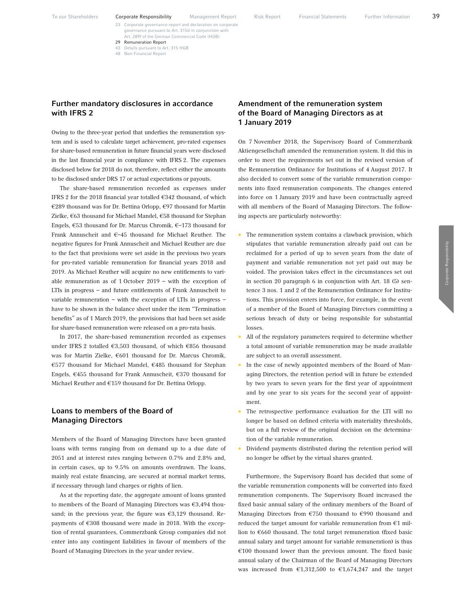Art. 289f of the German Commercial Code (HGB)

29 Remuneration Report 43 Details pursuant to Art. 315 HGB 48 Non-Financial Report

Owing to the three-year period that underlies the remuneration system and is used to calculate target achievement, pro-rated expenses for share-based remuneration in future financial years were disclosed in the last financial year in compliance with IFRS 2. The expenses disclosed below for 2018 do not, therefore, reflect either the amounts to be disclosed under DRS 17 or actual expectations or payouts.

The share-based remuneration recorded as expenses under IFRS 2 for the 2018 financial year totalled €342 thousand, of which €289 thousand was for Dr. Bettina Orlopp, €97 thousand for Martin Zielke, €63 thousand for Michael Mandel, €58 thousand for Stephan Engels, €53 thousand for Dr. Marcus Chromik, €–173 thousand for Frank Annuscheit and €–45 thousand for Michael Reuther. The negative figures for Frank Annuscheit and Michael Reuther are due to the fact that provisions were set aside in the previous two years for pro-rated variable remuneration for financial years 2018 and 2019. As Michael Reuther will acquire no new entitlements to variable remuneration as of 1 October 2019 – with the exception of LTIs in progress – and future entitlements of Frank Annuscheit to variable remuneration – with the exception of LTIs in progress – have to be shown in the balance sheet under the item "Termination benefits" as of 1 March 2019, the provisions that had been set aside for share-based remuneration were released on a pro-rata basis.

In 2017, the share-based remuneration recorded as expenses under IFRS 2 totalled €3,503 thousand, of which €856 thousand was for Martin Zielke, €601 thousand for Dr. Marcus Chromik, €577 thousand for Michael Mandel, €485 thousand for Stephan Engels, €455 thousand for Frank Annuscheit, €370 thousand for Michael Reuther and €159 thousand for Dr. Bettina Orlopp.

## Loans to members of the Board of Managing Directors

Members of the Board of Managing Directors have been granted loans with terms ranging from on demand up to a due date of 2051 and at interest rates ranging between 0.7% and 2.8% and, in certain cases, up to 9.5% on amounts overdrawn. The loans, mainly real estate financing, are secured at normal market terms, if necessary through land charges or rights of lien.

As at the reporting date, the aggregate amount of loans granted to members of the Board of Managing Directors was €3,494 thousand; in the previous year, the figure was  $\epsilon$ 3,129 thousand. Repayments of €308 thousand were made in 2018. With the exception of rental guarantees, Commerzbank Group companies did not enter into any contingent liabilities in favour of members of the Board of Managing Directors in the year under review.

## Amendment of the remuneration system of the Board of Managing Directors as at 1 January 2019

On 7 November 2018, the Supervisory Board of Commerzbank Aktiengesellschaft amended the remuneration system. It did this in order to meet the requirements set out in the revised version of the Remuneration Ordinance for Institutions of 4 August 2017. It also decided to convert some of the variable remuneration components into fixed remuneration components. The changes entered into force on 1 January 2019 and have been contractually agreed with all members of the Board of Managing Directors. The following aspects are particularly noteworthy:

- The remuneration system contains a clawback provision, which stipulates that variable remuneration already paid out can be reclaimed for a period of up to seven years from the date of payment and variable remuneration not yet paid out may be voided. The provision takes effect in the circumstances set out in section 20 paragraph 6 in conjunction with Art. 18 (5) sentence 3 nos. 1 and 2 of the Remuneration Ordinance for Institutions. This provision enters into force, for example, in the event of a member of the Board of Managing Directors committing a serious breach of duty or being responsible for substantial losses.
- All of the regulatory parameters required to determine whether a total amount of variable remuneration may be made available are subject to an overall assessment.
- In the case of newly appointed members of the Board of Managing Directors, the retention period will in future be extended by two years to seven years for the first year of appointment and by one year to six years for the second year of appointment.
- The retrospective performance evaluation for the LTI will no longer be based on defined criteria with materiality thresholds, but on a full review of the original decision on the determination of the variable remuneration.
- Dividend payments distributed during the retention period will no longer be offset by the virtual shares granted.

Furthermore, the Supervisory Board has decided that some of the variable remuneration components will be converted into fixed remuneration components. The Supervisory Board increased the fixed basic annual salary of the ordinary members of the Board of Managing Directors from €750 thousand to €990 thousand and reduced the target amount for variable remuneration from €1 million to €660 thousand. The total target remuneration (fixed basic annual salary and target amount for variable remuneration) is thus  $€100$  thousand lower than the previous amount. The fixed basic annual salary of the Chairman of the Board of Managing Directors was increased from  $\epsilon$ 1,312,500 to  $\epsilon$ 1,674,247 and the target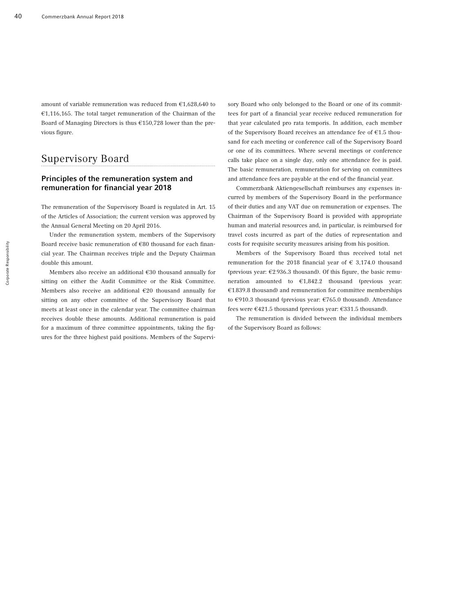amount of variable remuneration was reduced from €1,628,640 to €1,116,165. The total target remuneration of the Chairman of the Board of Managing Directors is thus €150,728 lower than the previous figure.

# Supervisory Board

## Principles of the remuneration system and remuneration for financial year 2018

The remuneration of the Supervisory Board is regulated in Art. 15 of the Articles of Association; the current version was approved by the Annual General Meeting on 20 April 2016.

Under the remuneration system, members of the Supervisory Board receive basic remuneration of €80 thousand for each financial year. The Chairman receives triple and the Deputy Chairman double this amount.

Members also receive an additional €30 thousand annually for sitting on either the Audit Committee or the Risk Committee. Members also receive an additional €20 thousand annually for sitting on any other committee of the Supervisory Board that meets at least once in the calendar year. The committee chairman receives double these amounts. Additional remuneration is paid for a maximum of three committee appointments, taking the figures for the three highest paid positions. Members of the Supervisory Board who only belonged to the Board or one of its committees for part of a financial year receive reduced remuneration for that year calculated pro rata temporis. In addition, each member of the Supervisory Board receives an attendance fee of €1.5 thousand for each meeting or conference call of the Supervisory Board or one of its committees. Where several meetings or conference calls take place on a single day, only one attendance fee is paid. The basic remuneration, remuneration for serving on committees and attendance fees are payable at the end of the financial year.

Commerzbank Aktiengesellschaft reimburses any expenses incurred by members of the Supervisory Board in the performance of their duties and any VAT due on remuneration or expenses. The Chairman of the Supervisory Board is provided with appropriate human and material resources and, in particular, is reimbursed for travel costs incurred as part of the duties of representation and costs for requisite security measures arising from his position.

Members of the Supervisory Board thus received total net remuneration for the 2018 financial year of  $\epsilon$  3,174.0 thousand (previous year: €2,936.3 thousand). Of this figure, the basic remuneration amounted to €1,842.2 thousand (previous year: €1,839.8 thousand) and remuneration for committee memberships to €910.3 thousand (previous year: €765.0 thousand). Attendance fees were €421.5 thousand (previous year: €331.5 thousand).

The remuneration is divided between the individual members of the Supervisory Board as follows: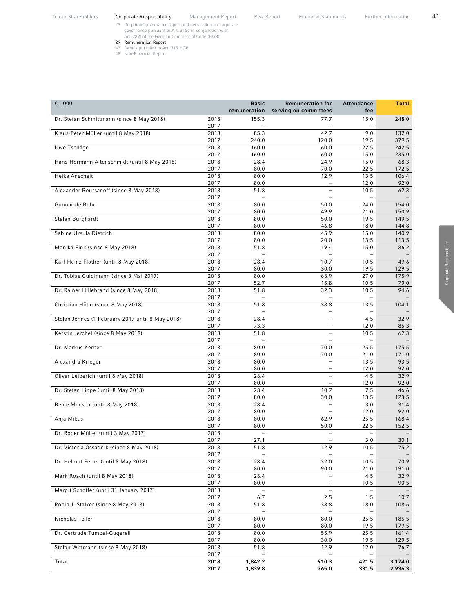- 23 Corporate governance report and declaration on corporate governance pursuant to Art. 315d in conjunction with Art. 289f of the German Commercial Code (HGB)
- 29 Remuneration Report
- 43 Details pursuant to Art. 315 HGB
- 48 Non-Financial Report

| €1,000                                                    | <b>Basic</b><br>remuneration | <b>Remuneration for</b><br>serving on committees | Attendance<br>fee        | <b>Total</b>   |
|-----------------------------------------------------------|------------------------------|--------------------------------------------------|--------------------------|----------------|
| Dr. Stefan Schmittmann (since 8 May 2018)<br>2018<br>2017 | 155.3                        | 77.7                                             | 15.0                     | 248.0          |
| 2018<br>Klaus-Peter Müller (until 8 May 2018)             | 85.3                         | 42.7                                             | 9.0                      | 137.0          |
| 2017                                                      | 240.0                        | 120.0                                            | 19.5                     | 379.5          |
| 2018<br>Uwe Tschäge<br>2017                               | 160.0<br>160.0               | 60.0<br>60.0                                     | 22.5<br>15.0             | 242.5<br>235.0 |
| 2018<br>Hans-Hermann Altenschmidt (until 8 May 2018)      | 28.4                         | 24.9                                             | 15.0                     | 68.3           |
| 2017                                                      | 80.0                         | 70.0                                             | 22.5                     | 172.5          |
| 2018<br>Heike Anscheit                                    | 80.0                         | 12.9                                             | 13.5                     | 106.4          |
| 2017                                                      | 80.0                         |                                                  | 12.0                     | 92.0           |
| 2018<br>Alexander Boursanoff (since 8 May 2018)           | 51.8                         |                                                  | 10.5                     | 62.3           |
| 2017<br>2018<br>Gunnar de Buhr                            | 80.0                         | 50.0                                             | 24.0                     | 154.0          |
| 2017                                                      | 80.0                         | 49.9                                             | 21.0                     | 150.9          |
| Stefan Burghardt<br>2018                                  | 80.0                         | 50.0                                             | 19.5                     | 149.5          |
| 2017                                                      | 80.0                         | 46.8                                             | 18.0                     | 144.8          |
| Sabine Ursula Dietrich<br>2018                            | 80.0                         | 45.9                                             | 15.0                     | 140.9          |
| 2017                                                      | 80.0                         | 20.0                                             | 13.5                     | 113.5          |
| 2018<br>Monika Fink (since 8 May 2018)<br>2017            | 51.8                         | 19.4                                             | 15.0                     | 86.2           |
| 2018<br>Karl-Heinz Flöther (until 8 May 2018)             | 28.4                         | 10.7                                             | 10.5                     | 49.6           |
| 2017                                                      | 80.0                         | 30.0                                             | 19.5                     | 129.5          |
| 2018<br>Dr. Tobias Guldimann (since 3 Mai 2017)           | 80.0                         | 68.9                                             | 27.0                     | 175.9          |
| 2017                                                      | 52.7                         | 15.8                                             | 10.5                     | 79.0           |
| 2018<br>Dr. Rainer Hillebrand (since 8 May 2018)          | 51.8                         | 32.3                                             | 10.5                     | 94.6           |
| 2017<br>2018<br>Christian Höhn (since 8 May 2018)         | 51.8                         | 38.8                                             | 13.5                     | 104.1          |
| 2017                                                      |                              | $\overline{\phantom{a}}$                         |                          |                |
| Stefan Jennes (1 February 2017 until 8 May 2018)<br>2018  | 28.4                         |                                                  | 4.5                      | 32.9           |
| 2017                                                      | 73.3                         |                                                  | 12.0                     | 85.3           |
| 2018<br>Kerstin Jerchel (since 8 May 2018)                | 51.8                         | $\overline{\phantom{0}}$                         | 10.5                     | 62.3           |
| 2017                                                      |                              |                                                  | $\overline{\phantom{0}}$ |                |
| 2018<br>Dr. Markus Kerber                                 | 80.0                         | 70.0                                             | 25.5                     | 175.5          |
| 2017                                                      | 80.0                         | 70.0<br>$\overline{\phantom{m}}$                 | 21.0                     | 171.0          |
| Alexandra Krieger<br>2018<br>2017                         | 80.0<br>80.0                 | $\overline{\phantom{m}}$                         | 13.5<br>12.0             | 93.5<br>92.0   |
| Oliver Leiberich (until 8 May 2018)<br>2018               | 28.4                         | $\equiv$                                         | 4.5                      | 32.9           |
| 2017                                                      | 80.0                         |                                                  | 12.0                     | 92.0           |
| Dr. Stefan Lippe (until 8 May 2018)<br>2018               | 28.4                         | 10.7                                             | 7.5                      | 46.6           |
| 2017                                                      | 80.0                         | 30.0                                             | 13.5                     | 123.5          |
| Beate Mensch (until 8 May 2018)<br>2018                   | 28.4                         |                                                  | 3.0                      | 31.4           |
| 2017                                                      | 80.0                         | $\qquad \qquad -$                                | 12.0                     | 92.0           |
| Anja Mikus<br>2018<br>2017                                | 80.0<br>80.0                 | 62.9<br>50.0                                     | 25.5<br>22.5             | 168.4<br>152.5 |
| 2018<br>Dr. Roger Müller (until 3 May 2017)               |                              |                                                  |                          |                |
| 2017                                                      | 27.1                         |                                                  | 3.0                      | 30.1           |
| Dr. Victoria Ossadnik (since 8 May 2018)<br>2018          | 51.8                         | 12.9                                             | 10.5                     | 75.2           |
| 2017<br>Dr. Helmut Perlet (until 8 May 2018)<br>2018      | 28.4                         | 32.0                                             | 10.5                     | 70.9           |
| 2017                                                      | 80.0                         | 90.0                                             | 21.0                     | 191.0          |
| Mark Roach (until 8 May 2018)<br>2018                     | 28.4                         |                                                  | 4.5                      | 32.9           |
| 2017                                                      | 80.0                         |                                                  | 10.5                     | 90.5           |
| Margit Schoffer (until 31 January 2017)<br>2018           | $\overline{\phantom{a}}$     | $\qquad \qquad -$                                | $\qquad \qquad -$        |                |
| 2017                                                      | 6.7                          | 2.5                                              | 1.5                      | 10.7           |
| Robin J. Stalker (since 8 May 2018)<br>2018               | 51.8                         | 38.8                                             | 18.0                     | 108.6          |
| 2017<br>Nicholas Teller<br>2018                           | 80.0                         | 80.0                                             | 25.5                     | 185.5          |
| 2017                                                      | 80.0                         | 80.0                                             | 19.5                     | 179.5          |
| Dr. Gertrude Tumpel-Gugerell<br>2018                      | 80.0                         | 55.9                                             | 25.5                     | 161.4          |

 2017 80.0 30.0 19.5 129.5 Stefan Wittmann (since 8 May 2018) 2018 51.8 12.9 12.0 76.7 2017 – – – – Total 2018 1,842.2 910.3 421.5 3,174.0 2017 1,839.8 765.0 331.5 2,936.3